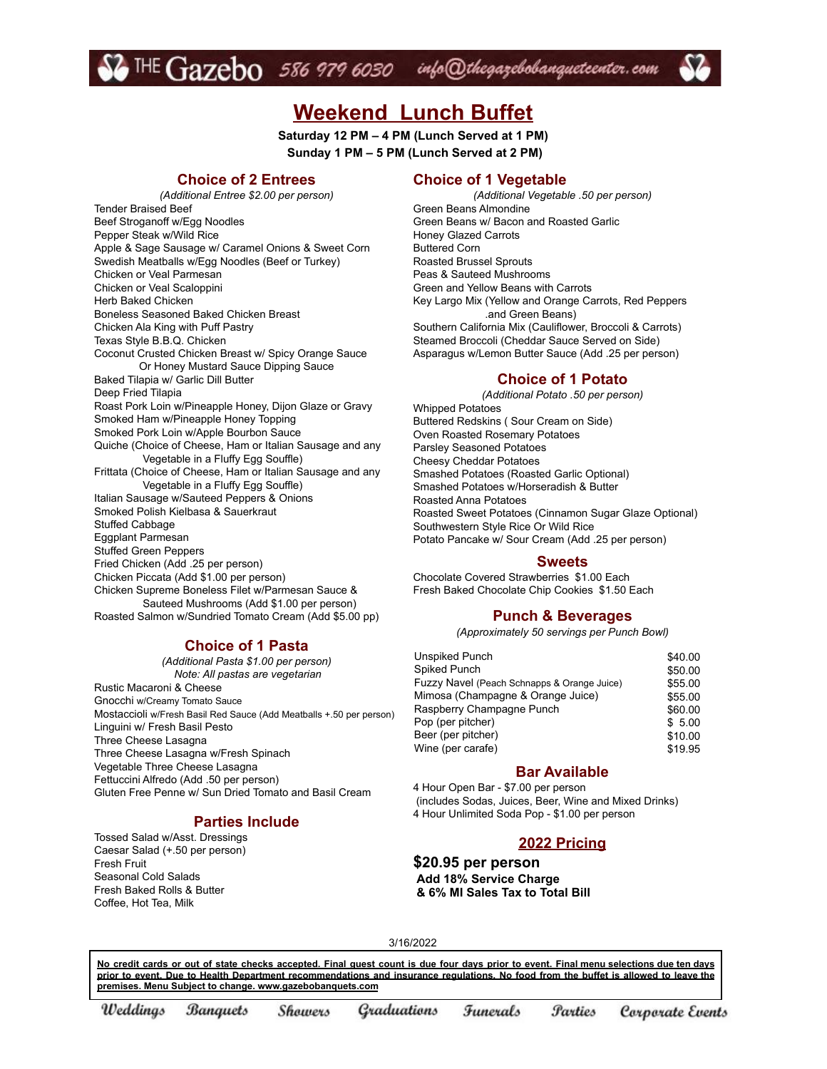$\bullet$  THE  $Gazebo$  586 979 6030 info@thegazebobanqueteenter.com

# **Weekend Lunch Buffet**

**Saturday 12 PM – 4 PM (Lunch Served at 1 PM) Sunday 1 PM – 5 PM (Lunch Served at 2 PM)**

#### **Choice of 2 Entrees**

*(Additional Entree \$2.00 per person)* Tender Braised Beef Beef Stroganoff w/Egg Noodles Pepper Steak w/Wild Rice Apple & Sage Sausage w/ Caramel Onions & Sweet Corn Swedish Meatballs w/Egg Noodles (Beef or Turkey) Chicken or Veal Parmesan Chicken or Veal Scaloppini Herb Baked Chicken Boneless Seasoned Baked Chicken Breast Chicken Ala King with Puff Pastry Texas Style B.B.Q. Chicken Coconut Crusted Chicken Breast w/ Spicy Orange Sauce Or Honey Mustard Sauce Dipping Sauce Baked Tilapia w/ Garlic Dill Butter Deep Fried Tilapia Roast Pork Loin w/Pineapple Honey, Dijon Glaze or Gravy Smoked Ham w/Pineapple Honey Topping Smoked Pork Loin w/Apple Bourbon Sauce Quiche (Choice of Cheese, Ham or Italian Sausage and any Vegetable in a Fluffy Egg Souffle) Frittata (Choice of Cheese, Ham or Italian Sausage and any Vegetable in a Fluffy Egg Souffle) Italian Sausage w/Sauteed Peppers & Onions Smoked Polish Kielbasa & Sauerkraut Stuffed Cabbage Eggplant Parmesan Stuffed Green Peppers Fried Chicken (Add .25 per person) Chicken Piccata (Add \$1.00 per person) Chicken Supreme Boneless Filet w/Parmesan Sauce & Sauteed Mushrooms (Add \$1.00 per person) Roasted Salmon w/Sundried Tomato Cream (Add \$5.00 pp)

#### **Choice of 1 Pasta**

*(Additional Pasta \$1.00 per person) Note: All pastas are vegetarian* Rustic Macaroni & Cheese Gnocchi w/Creamy Tomato Sauce Mostaccioli w/Fresh Basil Red Sauce (Add Meatballs +.50 per person) Linguini w/ Fresh Basil Pesto Three Cheese Lasagna Three Cheese Lasagna w/Fresh Spinach Vegetable Three Cheese Lasagna Fettuccini Alfredo (Add .50 per person) Gluten Free Penne w/ Sun Dried Tomato and Basil Cream

#### **Parties Include**

Tossed Salad w/Asst. Dressings Caesar Salad (+.50 per person) Fresh Fruit Seasonal Cold Salads Fresh Baked Rolls & Butter Coffee, Hot Tea, Milk

#### **Choice of 1 Vegetable**

*(Additional Vegetable .50 per person)* Green Beans Almondine Green Beans w/ Bacon and Roasted Garlic Honey Glazed Carrots Buttered Corn Roasted Brussel Sprouts Peas & Sauteed Mushrooms Green and Yellow Beans with Carrots Key Largo Mix (Yellow and Orange Carrots, Red Peppers .and Green Beans) Southern California Mix (Cauliflower, Broccoli & Carrots) Steamed Broccoli (Cheddar Sauce Served on Side) Asparagus w/Lemon Butter Sauce (Add .25 per person)

#### **Choice of 1 Potato**

*(Additional Potato .50 per person)* Whipped Potatoes Buttered Redskins ( Sour Cream on Side) Oven Roasted Rosemary Potatoes Parsley Seasoned Potatoes Cheesy Cheddar Potatoes Smashed Potatoes (Roasted Garlic Optional) Smashed Potatoes w/Horseradish & Butter Roasted Anna Potatoes Roasted Sweet Potatoes (Cinnamon Sugar Glaze Optional) Southwestern Style Rice Or Wild Rice Potato Pancake w/ Sour Cream (Add .25 per person)

#### **Sweets**

Chocolate Covered Strawberries \$1.00 Each Fresh Baked Chocolate Chip Cookies \$1.50 Each

#### **Punch & Beverages**

*(Approximately 50 servings per Punch Bowl)*

| Unspiked Punch                              | \$40.00 |
|---------------------------------------------|---------|
| Spiked Punch                                | \$50.00 |
| Fuzzy Navel (Peach Schnapps & Orange Juice) | \$55.00 |
| Mimosa (Champagne & Orange Juice)           | \$55.00 |
| Raspberry Champagne Punch                   | \$60.00 |
| Pop (per pitcher)                           | \$5.00  |
| Beer (per pitcher)                          | \$10.00 |
| Wine (per carafe)                           | \$19.95 |
|                                             |         |

#### **Bar Available**

4 Hour Open Bar - \$7.00 per person (includes Sodas, Juices, Beer, Wine and Mixed Drinks) 4 Hour Unlimited Soda Pop - \$1.00 per person

#### **2022 Pricing**

**\$20.95 per person Add 18% Service Charge & 6% MI Sales Tax to Total Bill**

3/16/2022

No credit cards or out of state checks accepted. Final guest count is due four days prior to event. Final menu selections due ten days prior to event. Due to Health Department recommendations and insurance regulations. No food from the buffet is allowed to leave the **premises. Menu Subject to change. www.gazebobanquets.com**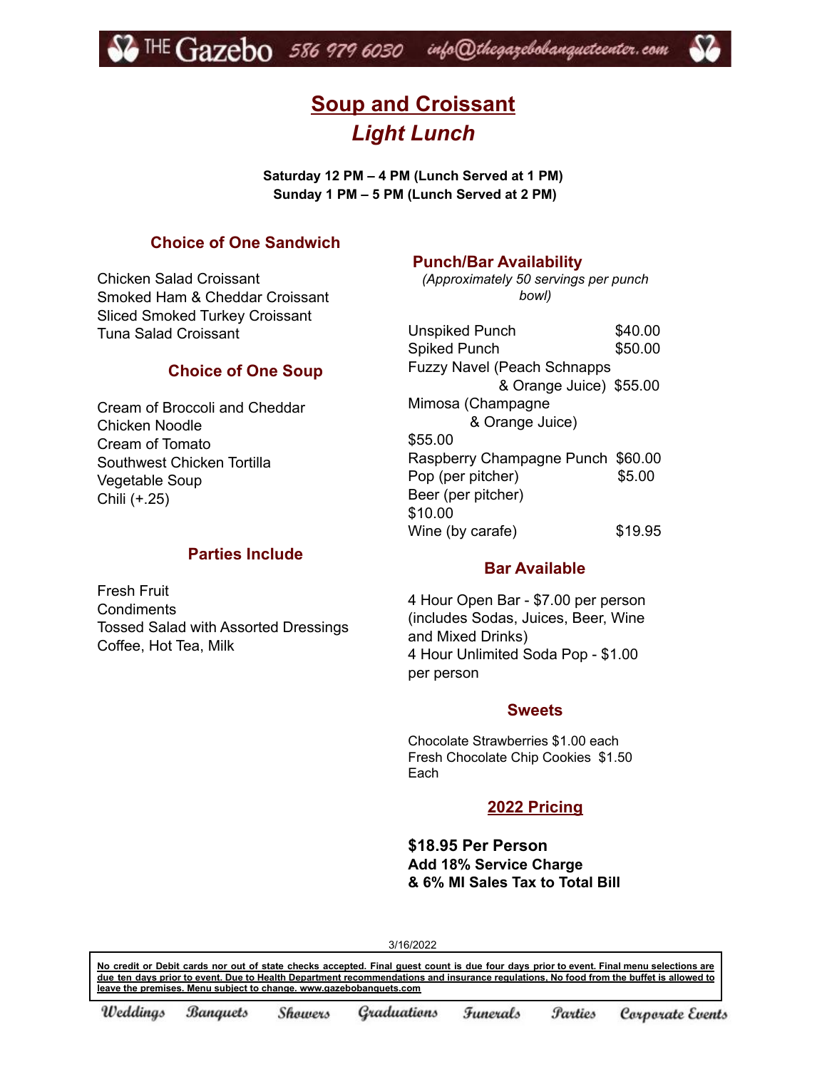

# **Soup and Croissant** *Light Lunch*

**Saturday 12 PM – 4 PM (Lunch Served at 1 PM) Sunday 1 PM – 5 PM (Lunch Served at 2 PM)**

## **Choice of One Sandwich**

Chicken Salad Croissant Smoked Ham & Cheddar Croissant Sliced Smoked Turkey Croissant Tuna Salad Croissant

#### **Choice of One Soup**

Cream of Broccoli and Cheddar Chicken Noodle Cream of Tomato Southwest Chicken Tortilla Vegetable Soup Chili (+.25)

Fresh Fruit **Condiments** 

Coffee, Hot Tea, Milk

## **Parties Include**

Tossed Salad with Assorted Dressings

## **Punch/Bar Availability**

*(Approximately 50 servings per punch bowl)*

| <b>Unspiked Punch</b>              | \$40.00 |
|------------------------------------|---------|
| <b>Spiked Punch</b>                | \$50.00 |
| <b>Fuzzy Navel (Peach Schnapps</b> |         |
| & Orange Juice) \$55.00            |         |
| Mimosa (Champagne                  |         |
| & Orange Juice)                    |         |
| \$55.00                            |         |
| Raspberry Champagne Punch \$60.00  |         |
| Pop (per pitcher)                  | \$5.00  |
| Beer (per pitcher)                 |         |
| \$10.00                            |         |
| Wine (by carafe)                   | \$19.95 |

# **Bar Available**

4 Hour Open Bar - \$7.00 per person (includes Sodas, Juices, Beer, Wine and Mixed Drinks) 4 Hour Unlimited Soda Pop - \$1.00 per person

#### **Sweets**

Chocolate Strawberries \$1.00 each Fresh Chocolate Chip Cookies \$1.50 Each

### **2022 Pricing**

**\$18.95 Per Person Add 18% Service Charge & 6% MI Sales Tax to Total Bill**

3/16/2022

No credit or Debit cards nor out of state checks accepted. Final quest count is due four days prior to event. Final menu selections are due ten days prior to event. Due to Health Department recommendations and insurance regulations. No food from the buffet is allowed to **leave the premises. Menu subject to change. www.gazebobanquets.com**